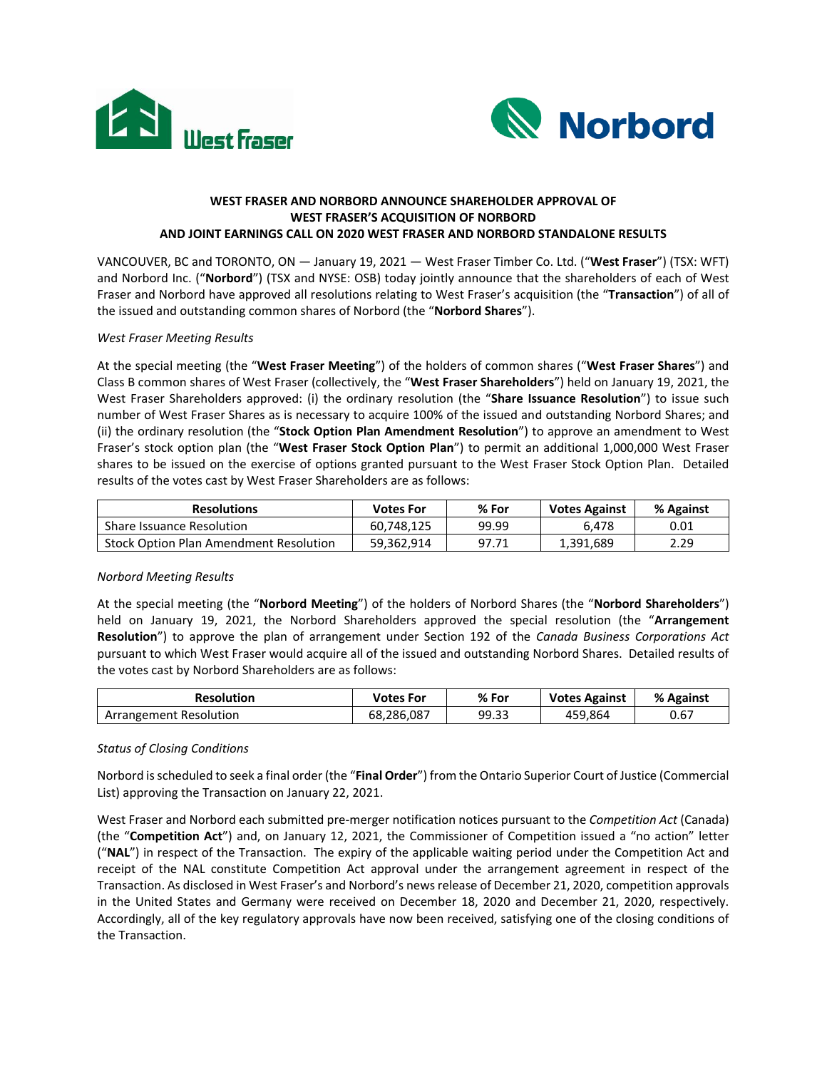



# **WEST FRASER AND NORBORD ANNOUNCE SHAREHOLDER APPROVAL OF WEST FRASER'S ACQUISITION OF NORBORD AND JOINT EARNINGS CALL ON 2020 WEST FRASER AND NORBORD STANDALONE RESULTS**

VANCOUVER, BC and TORONTO, ON — January 19, 2021 — West Fraser Timber Co. Ltd. ("**West Fraser**") (TSX: WFT) and Norbord Inc. ("**Norbord**") (TSX and NYSE: OSB) today jointly announce that the shareholders of each of West Fraser and Norbord have approved all resolutions relating to West Fraser's acquisition (the "**Transaction**") of all of the issued and outstanding common shares of Norbord (the "**Norbord Shares**").

# *West Fraser Meeting Results*

At the special meeting (the "**West Fraser Meeting**") of the holders of common shares ("**West Fraser Shares**") and Class B common shares of West Fraser (collectively, the "**West Fraser Shareholders**") held on January 19, 2021, the West Fraser Shareholders approved: (i) the ordinary resolution (the "**Share Issuance Resolution**") to issue such number of West Fraser Shares as is necessary to acquire 100% of the issued and outstanding Norbord Shares; and (ii) the ordinary resolution (the "**Stock Option Plan Amendment Resolution**") to approve an amendment to West Fraser's stock option plan (the "**West Fraser Stock Option Plan**") to permit an additional 1,000,000 West Fraser shares to be issued on the exercise of options granted pursuant to the West Fraser Stock Option Plan. Detailed results of the votes cast by West Fraser Shareholders are as follows:

| <b>Resolutions</b>                            | Votes For  | % For | <b>Votes Against</b> | % Against |
|-----------------------------------------------|------------|-------|----------------------|-----------|
| <b>Share Issuance Resolution</b>              | 60.748.125 | 99.99 | 6.478                | 0.01      |
| <b>Stock Option Plan Amendment Resolution</b> | 59.362.914 | 97.71 | 1.391.689            | 2.29      |

## *Norbord Meeting Results*

At the special meeting (the "**Norbord Meeting**") of the holders of Norbord Shares (the "**Norbord Shareholders**") held on January 19, 2021, the Norbord Shareholders approved the special resolution (the "**Arrangement Resolution**") to approve the plan of arrangement under Section 192 of the *Canada Business Corporations Act* pursuant to which West Fraser would acquire all of the issued and outstanding Norbord Shares. Detailed results of the votes cast by Norbord Shareholders are as follows:

| <b>Resolution</b>      | <b>Votes For</b> | % For | <b>Votes Against</b> | % Against |
|------------------------|------------------|-------|----------------------|-----------|
| Arrangement Resolution | 68,286,087       | 99.33 | 459.864              | 0.67      |

# *Status of Closing Conditions*

Norbord is scheduled to seek a final order (the "**Final Order**") from the Ontario Superior Court of Justice (Commercial List) approving the Transaction on January 22, 2021.

West Fraser and Norbord each submitted pre-merger notification notices pursuant to the *Competition Act* (Canada) (the "**Competition Act**") and, on January 12, 2021, the Commissioner of Competition issued a "no action" letter ("**NAL**") in respect of the Transaction. The expiry of the applicable waiting period under the Competition Act and receipt of the NAL constitute Competition Act approval under the arrangement agreement in respect of the Transaction. As disclosed in West Fraser's and Norbord's newsrelease of December 21, 2020, competition approvals in the United States and Germany were received on December 18, 2020 and December 21, 2020, respectively. Accordingly, all of the key regulatory approvals have now been received, satisfying one of the closing conditions of the Transaction.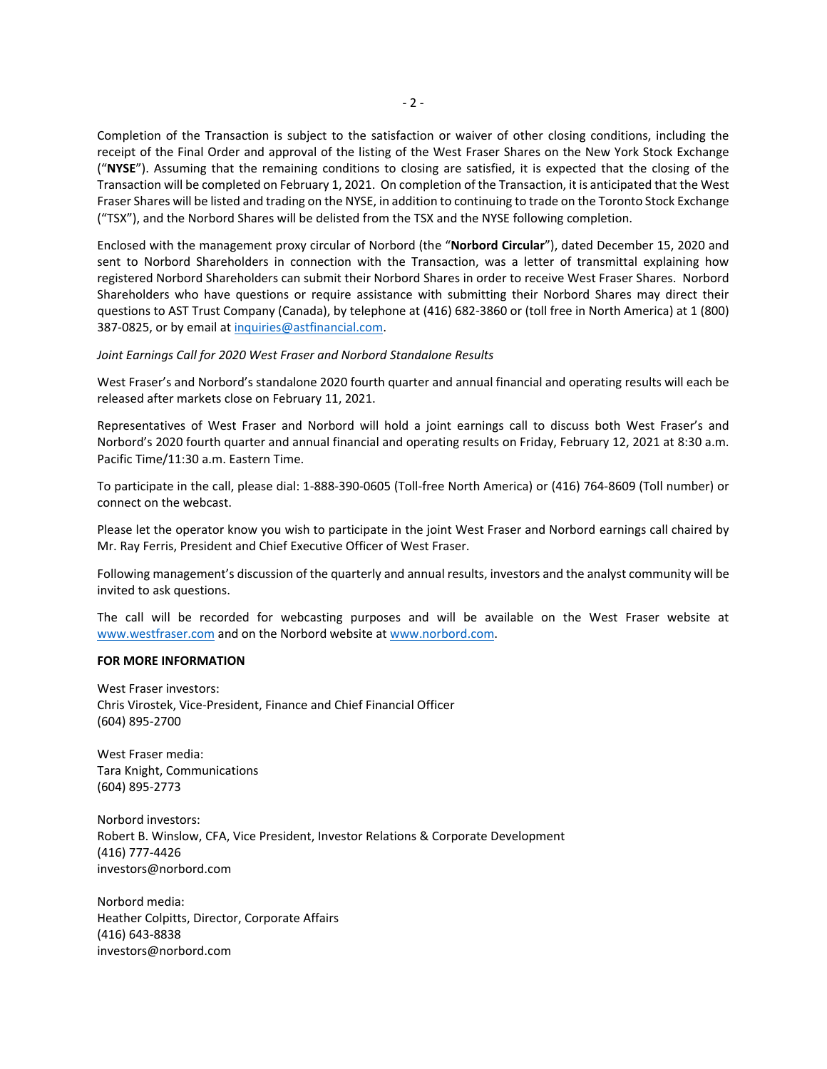Completion of the Transaction is subject to the satisfaction or waiver of other closing conditions, including the receipt of the Final Order and approval of the listing of the West Fraser Shares on the New York Stock Exchange ("**NYSE**"). Assuming that the remaining conditions to closing are satisfied, it is expected that the closing of the Transaction will be completed on February 1, 2021. On completion of the Transaction, it is anticipated that the West Fraser Shares will be listed and trading on the NYSE, in addition to continuing to trade on the Toronto Stock Exchange ("TSX"), and the Norbord Shares will be delisted from the TSX and the NYSE following completion.

Enclosed with the management proxy circular of Norbord (the "**Norbord Circular**"), dated December 15, 2020 and sent to Norbord Shareholders in connection with the Transaction, was a letter of transmittal explaining how registered Norbord Shareholders can submit their Norbord Shares in order to receive West Fraser Shares. Norbord Shareholders who have questions or require assistance with submitting their Norbord Shares may direct their questions to AST Trust Company (Canada), by telephone at (416) 682-3860 or (toll free in North America) at 1 (800) 387-0825, or by email a[t inquiries@astfinancial.com.](mailto:inquiries@astfinancial.com)

*Joint Earnings Call for 2020 West Fraser and Norbord Standalone Results*

West Fraser's and Norbord's standalone 2020 fourth quarter and annual financial and operating results will each be released after markets close on February 11, 2021.

Representatives of West Fraser and Norbord will hold a joint earnings call to discuss both West Fraser's and Norbord's 2020 fourth quarter and annual financial and operating results on Friday, February 12, 2021 at 8:30 a.m. Pacific Time/11:30 a.m. Eastern Time.

To participate in the call, please dial: 1-888-390-0605 (Toll-free North America) or (416) 764-8609 (Toll number) or connect on the webcast.

Please let the operator know you wish to participate in the joint West Fraser and Norbord earnings call chaired by Mr. Ray Ferris, President and Chief Executive Officer of West Fraser.

Following management's discussion of the quarterly and annual results, investors and the analyst community will be invited to ask questions.

The call will be recorded for webcasting purposes and will be available on the West Fraser website at [www.westfraser.com](http://www.westfraser.com/) and on the Norbord website at [www.norbord.com.](http://www.norbord.com/)

#### **FOR MORE INFORMATION**

West Fraser investors: Chris Virostek, Vice-President, Finance and Chief Financial Officer (604) 895-2700

West Fraser media: Tara Knight, Communications (604) 895-2773

Norbord investors: Robert B. Winslow, CFA, Vice President, Investor Relations & Corporate Development (416) 777-4426 investors@norbord.com

Norbord media: Heather Colpitts, Director, Corporate Affairs (416) 643-8838 investors@norbord.com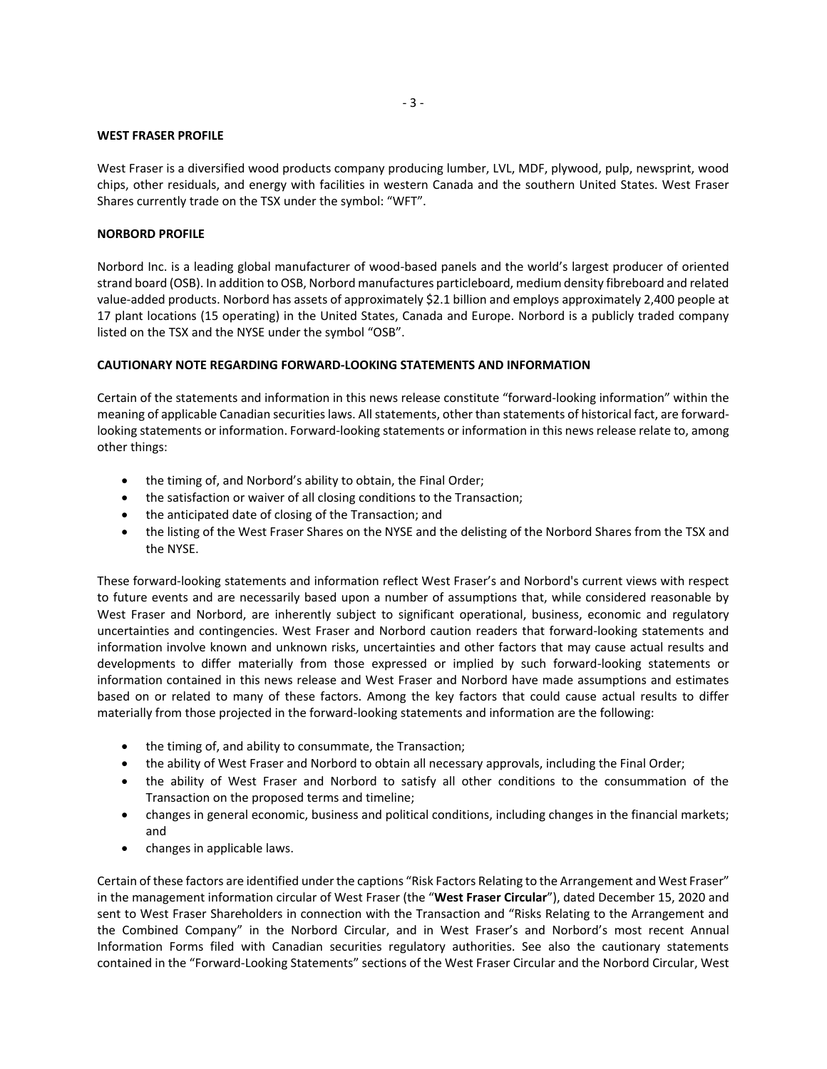#### **WEST FRASER PROFILE**

West Fraser is a diversified wood products company producing lumber, LVL, MDF, plywood, pulp, newsprint, wood chips, other residuals, and energy with facilities in western Canada and the southern United States. West Fraser Shares currently trade on the TSX under the symbol: "WFT".

## **NORBORD PROFILE**

Norbord Inc. is a leading global manufacturer of wood-based panels and the world's largest producer of oriented strand board (OSB). In addition to OSB, Norbord manufactures particleboard, medium density fibreboard and related value-added products. Norbord has assets of approximately \$2.1 billion and employs approximately 2,400 people at 17 plant locations (15 operating) in the United States, Canada and Europe. Norbord is a publicly traded company listed on the TSX and the NYSE under the symbol "OSB".

#### **CAUTIONARY NOTE REGARDING FORWARD-LOOKING STATEMENTS AND INFORMATION**

Certain of the statements and information in this news release constitute "forward-looking information" within the meaning of applicable Canadian securities laws. All statements, other than statements of historical fact, are forwardlooking statements or information. Forward-looking statements or information in this news release relate to, among other things:

- the timing of, and Norbord's ability to obtain, the Final Order;
- the satisfaction or waiver of all closing conditions to the Transaction;
- the anticipated date of closing of the Transaction; and
- the listing of the West Fraser Shares on the NYSE and the delisting of the Norbord Shares from the TSX and the NYSE.

These forward-looking statements and information reflect West Fraser's and Norbord's current views with respect to future events and are necessarily based upon a number of assumptions that, while considered reasonable by West Fraser and Norbord, are inherently subject to significant operational, business, economic and regulatory uncertainties and contingencies. West Fraser and Norbord caution readers that forward-looking statements and information involve known and unknown risks, uncertainties and other factors that may cause actual results and developments to differ materially from those expressed or implied by such forward-looking statements or information contained in this news release and West Fraser and Norbord have made assumptions and estimates based on or related to many of these factors. Among the key factors that could cause actual results to differ materially from those projected in the forward-looking statements and information are the following:

- the timing of, and ability to consummate, the Transaction;
- the ability of West Fraser and Norbord to obtain all necessary approvals, including the Final Order;
- the ability of West Fraser and Norbord to satisfy all other conditions to the consummation of the Transaction on the proposed terms and timeline;
- changes in general economic, business and political conditions, including changes in the financial markets; and
- changes in applicable laws.

Certain of these factors are identified under the captions "Risk Factors Relating to the Arrangement and West Fraser" in the management information circular of West Fraser (the "**West Fraser Circular**"), dated December 15, 2020 and sent to West Fraser Shareholders in connection with the Transaction and "Risks Relating to the Arrangement and the Combined Company" in the Norbord Circular, and in West Fraser's and Norbord's most recent Annual Information Forms filed with Canadian securities regulatory authorities. See also the cautionary statements contained in the "Forward-Looking Statements" sections of the West Fraser Circular and the Norbord Circular, West